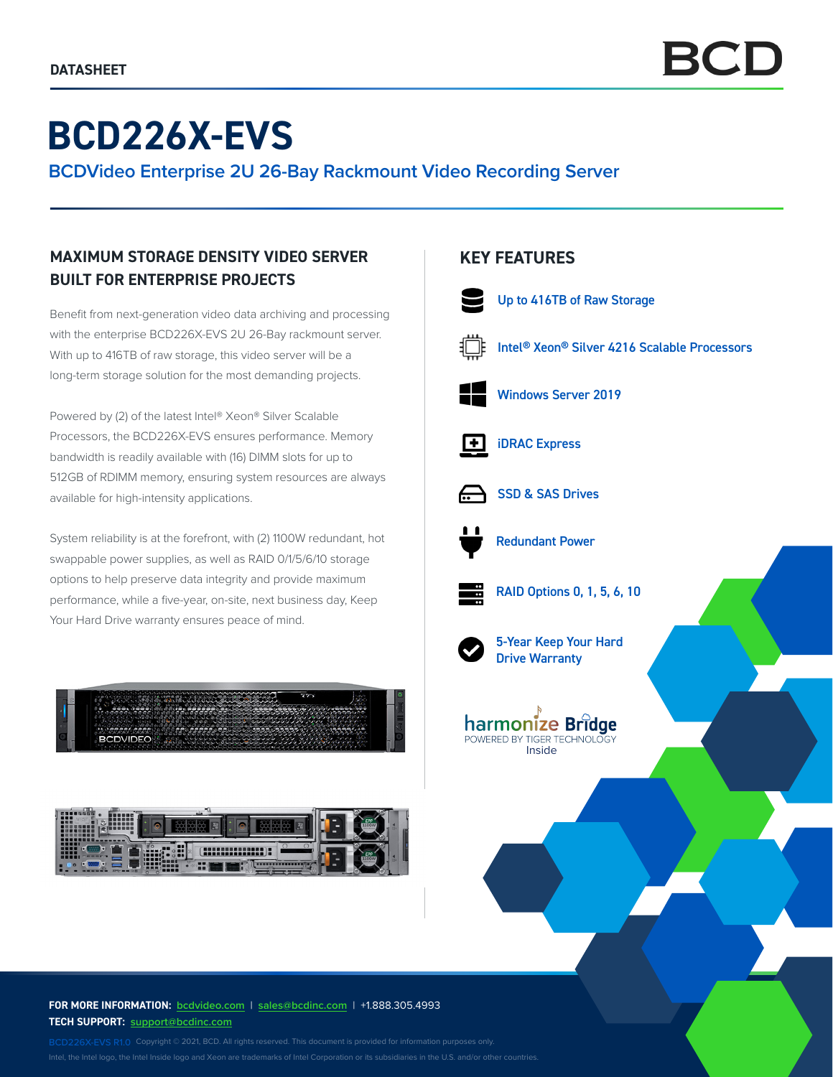# **BCD226X-EVS**

**BCDVideo Enterprise 2U 26-Bay Rackmount Video Recording Server**

## **MAXIMUM STORAGE DENSITY VIDEO SERVER BUILT FOR ENTERPRISE PROJECTS**

Benefit from next-generation video data archiving and processing with the enterprise BCD226X-EVS 2U 26-Bay rackmount server. With up to 416TB of raw storage, this video server will be a long-term storage solution for the most demanding projects.

Powered by (2) of the latest Intel® Xeon® Silver Scalable Processors, the BCD226X-EVS ensures performance. Memory bandwidth is readily available with (16) DIMM slots for up to 512GB of RDIMM memory, ensuring system resources are always available for high-intensity applications.

System reliability is at the forefront, with (2) 1100W redundant, hot swappable power supplies, as well as RAID 0/1/5/6/10 storage options to help preserve data integrity and provide maximum performance, while a five-year, on-site, next business day, Keep Your Hard Drive warranty ensures peace of mind.





### **KEY FEATURES**







SSD & SAS Drives



Redundant Power



RAID Options 0, 1, 5, 6, 10



5-Year Keep Your Hard Drive Warranty



**FOR MORE INFORMATION: bcdvideo[.com](http://bcdvideo.com)** | **[sales@bcdinc.com](mailto:sales%40bcdinc.com?subject=)** | +1.888.305.4993 **TECH SUPPORT: [support@bcdinc.com](mailto:support%40bcdinc.com?subject=)**

Intel, the Intel logo, the Intel Inside logo and Xeon are trademarks of Intel Corporation or its subsidiaries in the U.S. and/or other countries.